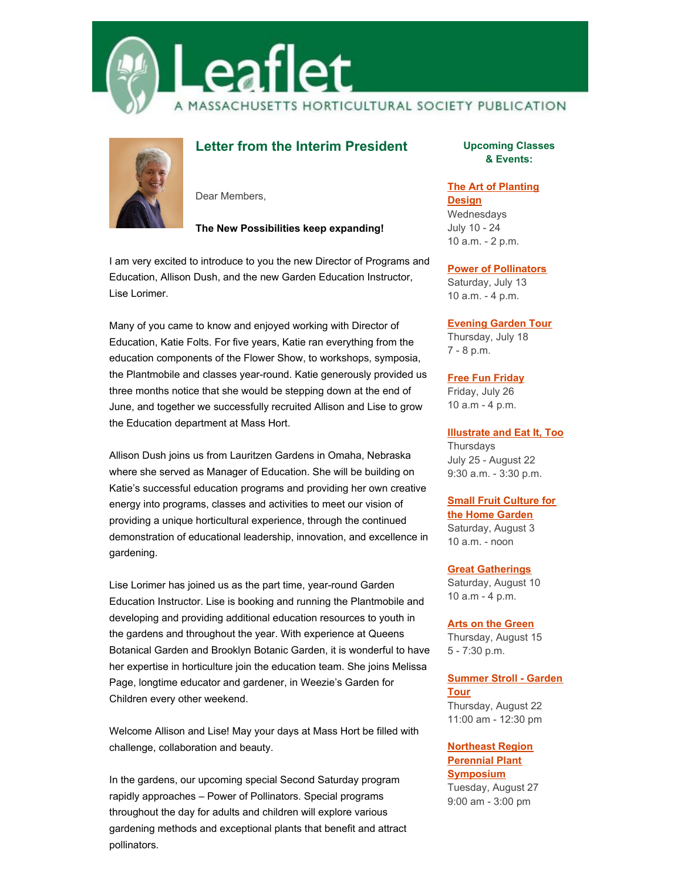



# **Letter from the Interim President**

Dear Members,

### **The New Possibilities keep expanding!**

I am very excited to introduce to you the new Director of Programs and Education, Allison Dush, and the new Garden Education Instructor, Lise Lorimer.

Many of you came to know and enjoyed working with Director of Education, Katie Folts. For five years, Katie ran everything from the education components of the Flower Show, to workshops, symposia, the Plantmobile and classes year-round. Katie generously provided us three months notice that she would be stepping down at the end of June, and together we successfully recruited Allison and Lise to grow the Education department at Mass Hort.

Allison Dush joins us from Lauritzen Gardens in Omaha, Nebraska where she served as Manager of Education. She will be building on Katie's successful education programs and providing her own creative energy into programs, classes and activities to meet our vision of providing a unique horticultural experience, through the continued demonstration of educational leadership, innovation, and excellence in gardening.

Lise Lorimer has joined us as the part time, year-round Garden Education Instructor. Lise is booking and running the Plantmobile and developing and providing additional education resources to youth in the gardens and throughout the year. With experience at Queens Botanical Garden and Brooklyn Botanic Garden, it is wonderful to have her expertise in horticulture join the education team. She joins Melissa Page, longtime educator and gardener, in Weezie's Garden for Children every other weekend.

Welcome Allison and Lise! May your days at Mass Hort be filled with challenge, collaboration and beauty.

In the gardens, our upcoming special Second Saturday program rapidly approaches – Power of Pollinators. Special programs throughout the day for adults and children will explore various gardening methods and exceptional plants that benefit and attract pollinators.

**Upcoming Classes & Events:**

### **The Art of [Planting](http://events.constantcontact.com/register/event?llr=kzaorjcab&oeidk=a07eg6cjfbm006cd4de)**

**Design** Wednesdays July 10 - 24 10 a.m. - 2 p.m.

#### **Power of [Pollinators](https://masshort.org/garden-event/the-power-of-pollinators/)**

Saturday, July 13 10 a.m. - 4 p.m.

#### **[Evening](http://events.r20.constantcontact.com/register/event?oeidk=a07eg6clxks98917f41&llr=kzaorjcab) Garden Tour**

Thursday, July 18 7 - 8 p.m.

#### **Free Fun [Friday](https://masshort.org/garden-event/free-fun-friday/)**

Friday, July 26 10 a.m - 4 p.m.

### **[Illustrate](https://www.wellesley.edu/wcbg/learn) and Eat It, Too**

**Thursdays** July 25 - August 22 9:30 a.m. - 3:30 p.m.

### **Small Fruit [Culture](http://events.r20.constantcontact.com/register/event?oeidk=a07eg6cmyxt99b74fd8&llr=kzaorjcab) for**

**the Home Garden**

Saturday, August 3 10 a.m. - noon

#### **Great [Gatherings](https://masshort.org/garden-event/great-gatherings/)**

Saturday, August 10 10 a.m - 4 p.m.

#### **Arts on the [Green](https://masshort.org/garden-event/arts-on-the-green/)**

Thursday, August 15 5 - 7:30 p.m.

### **[Summer](https://masshort.org/education-events/summer-stroll-garden-tour-3/) Stroll - Garden Tour**

Thursday, August 22 11:00 am - 12:30 pm

### **Northeast Region Perennial Plant [Symposium](https://masshort.org/education-events/northeast-region-perennial-plant-symposium/)**

Tuesday, August 27 9:00 am - 3:00 pm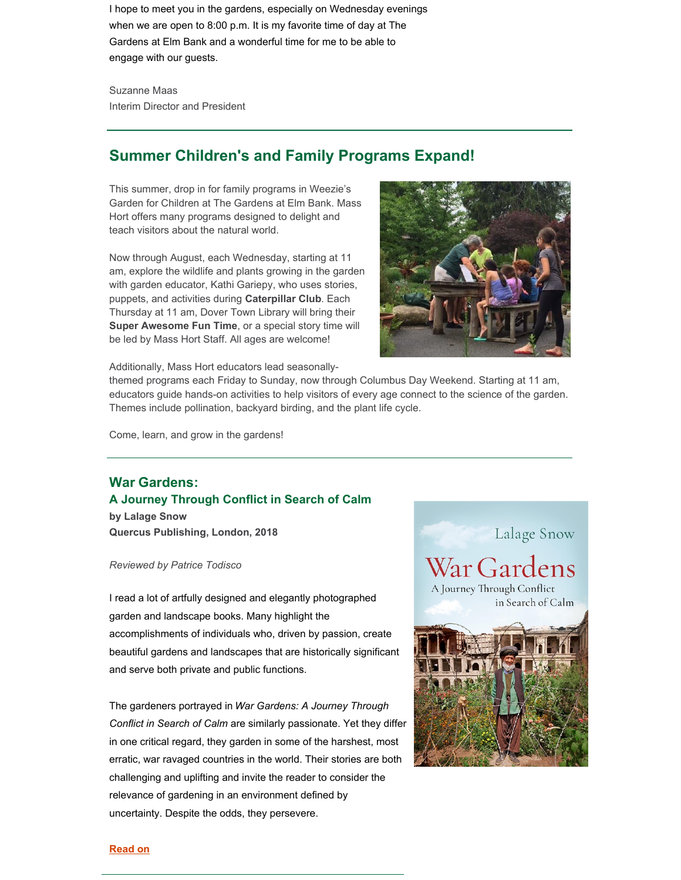I hope to meet you in the gardens, especially on Wednesday evenings when we are open to 8:00 p.m. It is my favorite time of day at The Gardens at Elm Bank and a wonderful time for me to be able to engage with our guests.

Suzanne Maas Interim Director and President

# **Summer Children's and Family Programs Expand!**

This summer, drop in for family programs in Weezie's Garden for Children at The Gardens at Elm Bank. Mass Hort offers many programs designed to delight and teach visitors about the natural world.

Now through August, each Wednesday, starting at 11 am, explore the wildlife and plants growing in the garden with garden educator, Kathi Gariepy, who uses stories, puppets, and activities during **Caterpillar Club**. Each Thursday at 11 am, Dover Town Library will bring their **Super Awesome Fun Time**, or a special story time will be led by Mass Hort Staff. All ages are welcome!



Additionally, Mass Hort educators lead seasonally-

themed programs each Friday to Sunday, now through Columbus Day Weekend. Starting at 11 am, educators guide hands-on activities to help visitors of every age connect to the science of the garden. Themes include pollination, backyard birding, and the plant life cycle.

Come, learn, and grow in the gardens!

# **War Gardens: A Journey Through Conflict in Search of Calm**

**by Lalage Snow Quercus Publishing, London, 2018**

#### *Reviewed by Patrice Todisco*

I read a lot of artfully designed and elegantly photographed garden and landscape books. Many highlight the accomplishments of individuals who, driven by passion, create beautiful gardens and landscapes that are historically significant and serve both private and public functions.

The gardeners portrayed in *War Gardens: A Journey Through Conflict in Search of Calm* are similarly passionate. Yet they differ in one critical regard, they garden in some of the harshest, most erratic, war ravaged countries in the world. Their stories are both challenging and uplifting and invite the reader to consider the relevance of gardening in an environment defined by uncertainty. Despite the odds, they persevere.



### **[Read](https://masshort.org/leaflet-july-2019-war-gardens/) on**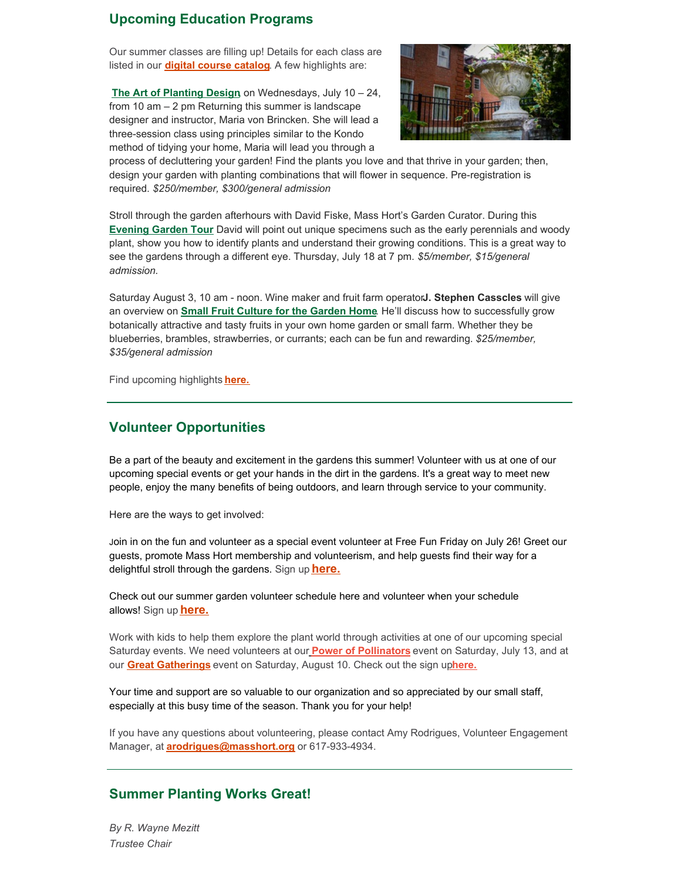## **Upcoming Education Programs**

Our summer classes are filling up! Details for each class are listed in our **digital course [catalog](https://files.constantcontact.com/a2307139001/a71467cd-8808-4a79-a326-7de509f6ed23.pdf?rdr=true)**. A few highlights are:

**The Art of [Planting](http://events.r20.constantcontact.com/register/event?oeidk=a07eg6cjfbm006cd4de&llr=kzaorjcab) Design,** on Wednesdays, July 10 – 24, from 10 am – 2 pm Returning this summer is landscape designer and instructor, Maria von Brincken. She will lead a three-session class using principles similar to the Kondo method of tidying your home, Maria will lead you through a



process of decluttering your garden! Find the plants you love and that thrive in your garden; then, design your garden with planting combinations that will flower in sequence. Pre-registration is required. *\$250/member, \$300/general admission*

Stroll through the garden afterhours with David Fiske, Mass Hort's Garden Curator. During this **[Evening](http://events.r20.constantcontact.com/register/event?oeidk=a07eg6clxks98917f41&llr=kzaorjcab) Garden Tour** David will point out unique specimens such as the early perennials and woody plant, show you how to identify plants and understand their growing conditions. This is a great way to see the gardens through a different eye. Thursday, July 18 at 7 pm. *\$5/member, \$15/general admission.*

Saturday August 3, 10 am - noon. Wine maker and fruit farm operator**J. Stephen Casscles** will give an overview on **Small Fruit Culture for the [Garden](http://events.r20.constantcontact.com/register/event?oeidk=a07eg6cmyxt99b74fd8&llr=kzaorjcab) Home**. He'll discuss how to successfully grow botanically attractive and tasty fruits in your own home garden or small farm. Whether they be blueberries, brambles, strawberries, or currants; each can be fun and rewarding. *\$25/member, \$35/general admission*

Find upcoming highlights **[here.](https://masshort.org/upcoming-classes/)**

### **Volunteer Opportunities**

Be a part of the beauty and excitement in the gardens this summer! Volunteer with us at one of our upcoming special events or get your hands in the dirt in the gardens. It's a great way to meet new people, enjoy the many benefits of being outdoors, and learn through service to your community.

Here are the ways to get involved:

Join in on the fun and volunteer as a special event volunteer at Free Fun Friday on July 26! Greet our guests, promote Mass Hort membership and volunteerism, and help guests find their way for a delightful stroll through the gardens. Sign up **[here.](https://www.signupgenius.com/go/70a0a45a5af23a46-free1)**

Check out our summer garden volunteer schedule here and volunteer when your schedule allows! Sign up **[here.](https://www.signupgenius.com/go/70a0a45a5af23a46-20194%5D)**

Work with kids to help them explore the plant world through activities at one of our upcoming special Saturday events. We need volunteers at ou[r](https://masshort.org/education-events/the-power-of-pollinators/) **Power of [Pollinators](https://masshort.org/education-events/the-power-of-pollinators/)** event on Saturday, July 13, and at our **Great [Gatherings](https://masshort.org/education-events/great-gatherings/)** event on Saturday, August 10. Check out the sign up**[here.](https://www.signupgenius.com/go/70a0a45a5af23a46-20193)**

Your time and support are so valuable to our organization and so appreciated by our small staff, especially at this busy time of the season. Thank you for your help!

If you have any questions about volunteering, please contact Amy Rodrigues, Volunteer Engagement Manager, at **[arodrigues@masshort.org](mailto:arodrigues@masshort.org)** or 617-933-4934.

### **Summer Planting Works Great!**

*By R. Wayne Mezitt Trustee Chair*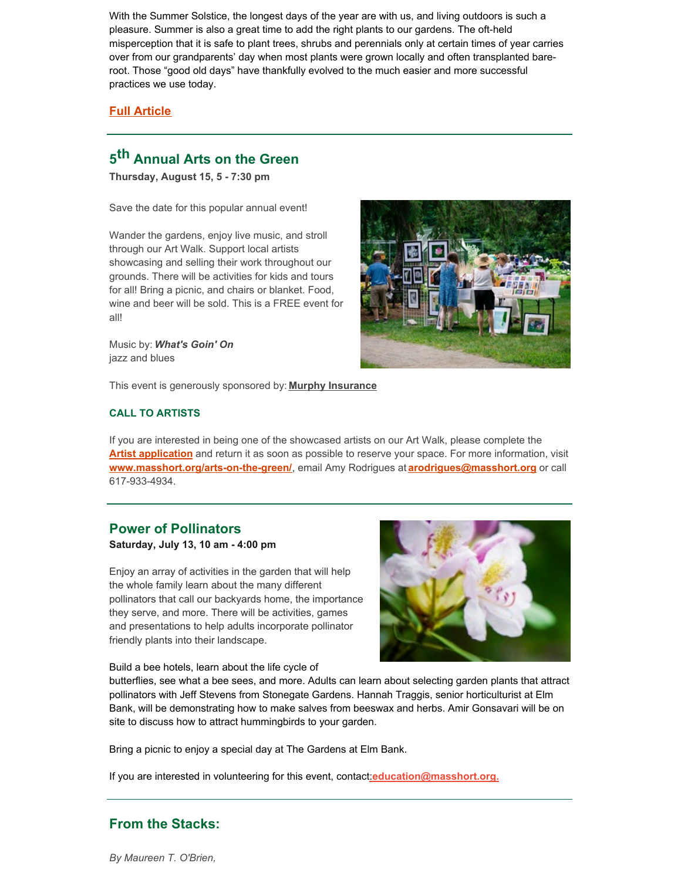With the Summer Solstice, the longest days of the year are with us, and living outdoors is such a pleasure. Summer is also a great time to add the right plants to our gardens. The oft-held misperception that it is safe to plant trees, shrubs and perennials only at certain times of year carries over from our grandparents' day when most plants were grown locally and often transplanted bareroot. Those "good old days" have thankfully evolved to the much easier and more successful practices we use today.

### **Full [Article](https://masshort.org/leaflet-july-2019-summer-planting-works-great/)**

# **5 th Annual Arts on the Green**

**Thursday, August 15, 5 - 7:30 pm**

Save the date for this popular annual event!

Wander the gardens, enjoy live music, and stroll through our Art Walk. Support local artists showcasing and selling their work throughout our grounds. There will be activities for kids and tours for all! Bring a picnic, and chairs or blanket. Food, wine and beer will be sold. This is a FREE event for all!

Music by: *What's Goin' On* jazz and blues



This event is generously sponsored by: **Murphy [Insurance](https://www.dfmurphy.com/)**

### **CALL TO ARTISTS**

If you are interested in being one of the showcased artists on our Art Walk, please complete the **Artist [application](https://files.constantcontact.com/a2307139001/7e2eb7e5-25fe-43cc-8ea7-27d73cefd472.docx?rdr=true)** and return it as soon as possible to reserve your space. For more information, visit **[www.masshort.org/arts-on-the-green/](http://masshort.org/garden-event/arts-on-the-green/)**, email Amy Rodrigues at **[arodrigues@masshort.org](mailto:arodrigues@masshort.org)** or call 617-933-4934.

# **Power of Pollinators**

**Saturday, July 13, 10 am - 4:00 pm**

Enjoy an array of activities in the garden that will help the whole family learn about the many different pollinators that call our backyards home, the importance they serve, and more. There will be activities, games and presentations to help adults incorporate pollinator friendly plants into their landscape.

Build a bee hotels, learn about the life cycle of

butterflies, see what a bee sees, and more. Adults can learn about selecting garden plants that attract pollinators with Jeff Stevens from Stonegate Gardens. Hannah Traggis, senior horticulturist at Elm Bank, will be demonstrating how to make salves from beeswax and herbs. Amir Gonsavari will be on site to discuss how to attract hummingbirds to your garden.

Bring a picnic to enjoy a special day at The Gardens at Elm Bank.

If you are interested in volunteering for this event, contac[t:](mailto:education@masshort.org)**[education@masshort.org.](mailto:education@masshort.org)**

# **From the Stacks:**

*By Maureen T. O'Brien,*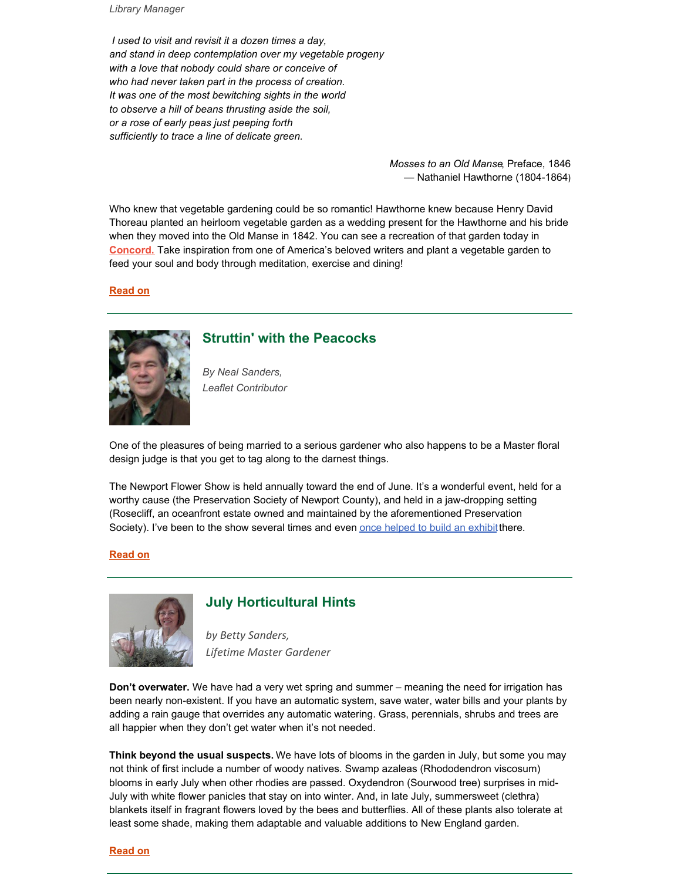*Library Manager*

*I used to visit and revisit it a dozen times a day, and stand in deep contemplation over my vegetable progeny with a love that nobody could share or conceive of who had never taken part in the process of creation. It was one of the most bewitching sights in the world to observe a hill of beans thrusting aside the soil, or a rose of early peas just peeping forth sufficiently to trace a line of delicate green.*

> *Mosses to an Old Manse*, Preface, 1846 — Nathaniel Hawthorne (1804-1864)

Who knew that vegetable gardening could be so romantic! Hawthorne knew because Henry David Thoreau planted an heirloom vegetable garden as a wedding present for the Hawthorne and his bride when they moved into the Old Manse in 1842. You can see a recreation of that garden today in **[Concord.](http://www.thetrustees.org/places-to-visit/metro-west/old-manse.html)** Take inspiration from one of America's beloved writers and plant a vegetable garden to feed your soul and body through meditation, exercise and dining!

**[Read](https://masshort.org/leaflet-july-2019-from-the-stacks/) on**



### **Struttin' with the Peacocks**

*By Neal Sanders, Leaflet Contributor*

One of the pleasures of being married to a serious gardener who also happens to be a Master floral design judge is that you get to tag along to the darnest things.

The Newport Flower Show is held annually toward the end of June. It's a wonderful event, held for a worthy cause (the Preservation Society of Newport County), and held in a jaw-dropping setting (Rosecliff, an oceanfront estate owned and maintained by the aforementioned Preservation Society). I've been to the show several times and even once [helped](https://theprincipalundergardener.blogspot.com/2011/06/thats-what-friends-are-for.html) to build an exhibit there.

#### **[Read](https://masshort.org/leaflet-july-2019-struttin-with-peacocks/) on**



# **July Horticultural Hints**

*by Betty Sanders, Lifetime Master Gardener*

**Don't overwater.** We have had a very wet spring and summer – meaning the need for irrigation has been nearly non-existent. If you have an automatic system, save water, water bills and your plants by adding a rain gauge that overrides any automatic watering. Grass, perennials, shrubs and trees are all happier when they don't get water when it's not needed.

**Think beyond the usual suspects.** We have lots of blooms in the garden in July, but some you may not think of first include a number of woody natives. Swamp azaleas (Rhododendron viscosum) blooms in early July when other rhodies are passed. Oxydendron (Sourwood tree) surprises in mid-July with white flower panicles that stay on into winter. And, in late July, summersweet (clethra) blankets itself in fragrant flowers loved by the bees and butterflies. All of these plants also tolerate at least some shade, making them adaptable and valuable additions to New England garden.

#### **[Read](https://masshort.org/leaflet-july-2019-hints/) on**